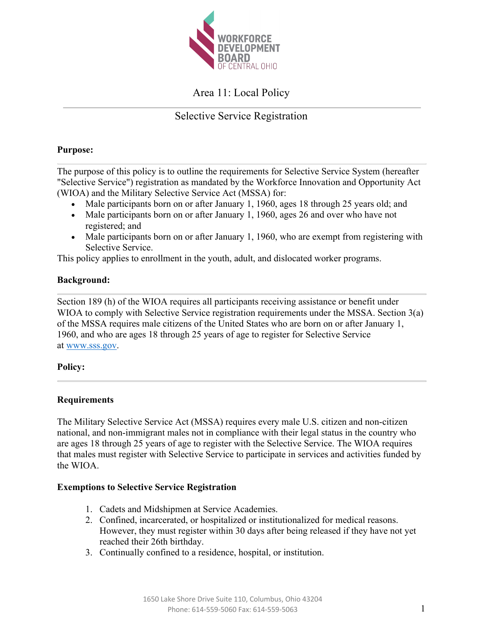

# Area 11: Local Policy

# Selective Service Registration

## **Purpose:**

The purpose of this policy is to outline the requirements for Selective Service System (hereafter "Selective Service") registration as mandated by the Workforce Innovation and Opportunity Act (WIOA) and the Military Selective Service Act (MSSA) for:

- Male participants born on or after January 1, 1960, ages 18 through 25 years old; and
- Male participants born on or after January 1, 1960, ages 26 and over who have not registered; and
- Male participants born on or after January 1, 1960, who are exempt from registering with Selective Service.

This policy applies to enrollment in the youth, adult, and dislocated worker programs.

# **Background:**

Section 189 (h) of the WIOA requires all participants receiving assistance or benefit under WIOA to comply with Selective Service registration requirements under the MSSA. Section 3(a) of the MSSA requires male citizens of the United States who are born on or after January 1, 1960, and who are ages 18 through 25 years of age to register for Selective Service at www.sss.gov.

# **Policy:**

# **Requirements**

The Military Selective Service Act (MSSA) requires every male U.S. citizen and non-citizen national, and non-immigrant males not in compliance with their legal status in the country who are ages 18 through 25 years of age to register with the Selective Service. The WIOA requires that males must register with Selective Service to participate in services and activities funded by the WIOA.

### **Exemptions to Selective Service Registration**

- 1. Cadets and Midshipmen at Service Academies.
- 2. Confined, incarcerated, or hospitalized or institutionalized for medical reasons. However, they must register within 30 days after being released if they have not yet reached their 26th birthday.
- 3. Continually confined to a residence, hospital, or institution.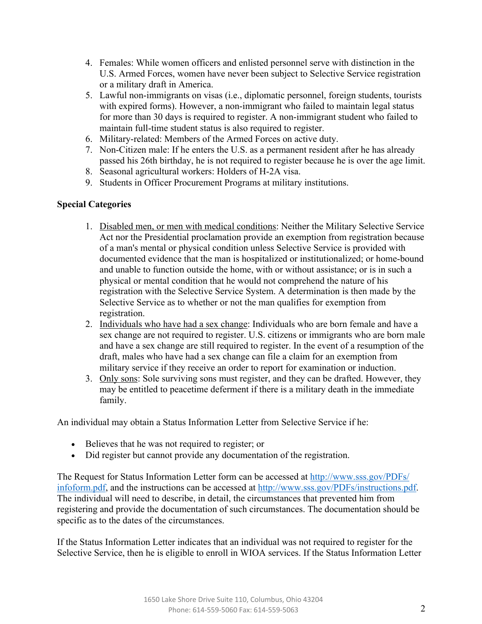- 4. Females: While women officers and enlisted personnel serve with distinction in the U.S. Armed Forces, women have never been subject to Selective Service registration or a military draft in America.
- 5. Lawful non-immigrants on visas (i.e., diplomatic personnel, foreign students, tourists with expired forms). However, a non-immigrant who failed to maintain legal status for more than 30 days is required to register. A non-immigrant student who failed to maintain full-time student status is also required to register.
- 6. Military-related: Members of the Armed Forces on active duty.
- 7. Non-Citizen male: If he enters the U.S. as a permanent resident after he has already passed his 26th birthday, he is not required to register because he is over the age limit.
- 8. Seasonal agricultural workers: Holders of H-2A visa.
- 9. Students in Officer Procurement Programs at military institutions.

# **Special Categories**

- 1. Disabled men, or men with medical conditions: Neither the Military Selective Service Act nor the Presidential proclamation provide an exemption from registration because of a man's mental or physical condition unless Selective Service is provided with documented evidence that the man is hospitalized or institutionalized; or home-bound and unable to function outside the home, with or without assistance; or is in such a physical or mental condition that he would not comprehend the nature of his registration with the Selective Service System. A determination is then made by the Selective Service as to whether or not the man qualifies for exemption from registration.
- 2. Individuals who have had a sex change: Individuals who are born female and have a sex change are not required to register. U.S. citizens or immigrants who are born male and have a sex change are still required to register. In the event of a resumption of the draft, males who have had a sex change can file a claim for an exemption from military service if they receive an order to report for examination or induction.
- 3. Only sons: Sole surviving sons must register, and they can be drafted. However, they may be entitled to peacetime deferment if there is a military death in the immediate family.

An individual may obtain a Status Information Letter from Selective Service if he:

- Believes that he was not required to register; or
- Did register but cannot provide any documentation of the registration.

The Request for Status Information Letter form can be accessed at http://www.sss.gov/PDFs/ infoform.pdf, and the instructions can be accessed at http://www.sss.gov/PDFs/instructions.pdf. The individual will need to describe, in detail, the circumstances that prevented him from registering and provide the documentation of such circumstances. The documentation should be specific as to the dates of the circumstances.

If the Status Information Letter indicates that an individual was not required to register for the Selective Service, then he is eligible to enroll in WIOA services. If the Status Information Letter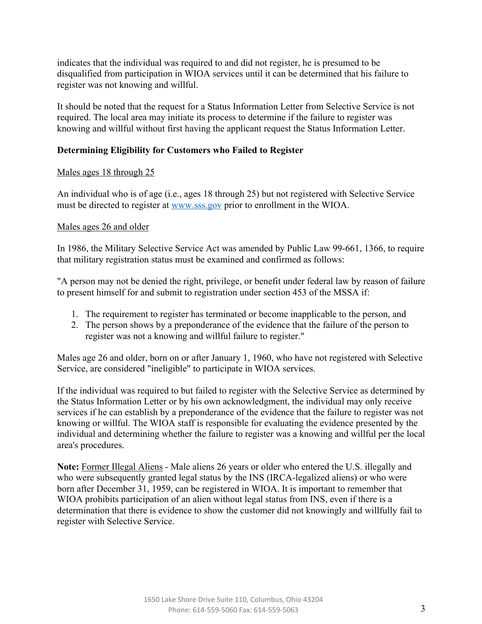indicates that the individual was required to and did not register, he is presumed to be disqualified from participation in WIOA services until it can be determined that his failure to register was not knowing and willful.

It should be noted that the request for a Status Information Letter from Selective Service is not required. The local area may initiate its process to determine if the failure to register was knowing and willful without first having the applicant request the Status Information Letter.

# **Determining Eligibility for Customers who Failed to Register**

# Males ages 18 through 25

An individual who is of age (i.e., ages 18 through 25) but not registered with Selective Service must be directed to register at www.sss.gov prior to enrollment in the WIOA.

# Males ages 26 and older

In 1986, the Military Selective Service Act was amended by Public Law 99-661, 1366, to require that military registration status must be examined and confirmed as follows:

"A person may not be denied the right, privilege, or benefit under federal law by reason of failure to present himself for and submit to registration under section 453 of the MSSA if:

- 1. The requirement to register has terminated or become inapplicable to the person, and
- 2. The person shows by a preponderance of the evidence that the failure of the person to register was not a knowing and willful failure to register."

Males age 26 and older, born on or after January 1, 1960, who have not registered with Selective Service, are considered "ineligible" to participate in WIOA services.

If the individual was required to but failed to register with the Selective Service as determined by the Status Information Letter or by his own acknowledgment, the individual may only receive services if he can establish by a preponderance of the evidence that the failure to register was not knowing or willful. The WIOA staff is responsible for evaluating the evidence presented by the individual and determining whether the failure to register was a knowing and willful per the local area's procedures.

**Note:** Former Illegal Aliens - Male aliens 26 years or older who entered the U.S. illegally and who were subsequently granted legal status by the INS (IRCA-legalized aliens) or who were born after December 31, 1959, can be registered in WIOA. It is important to remember that WIOA prohibits participation of an alien without legal status from INS, even if there is a determination that there is evidence to show the customer did not knowingly and willfully fail to register with Selective Service.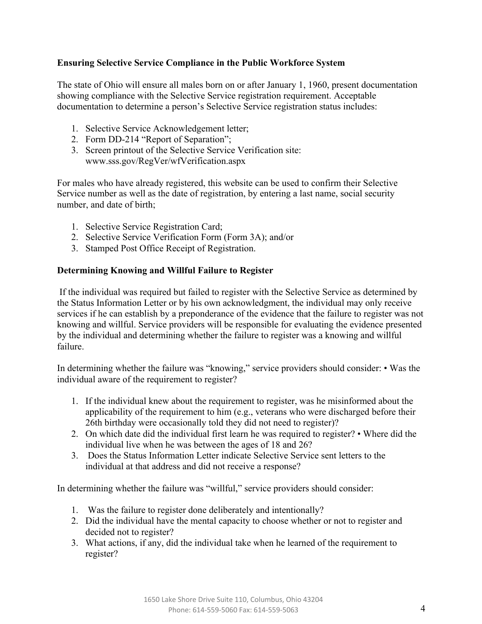# **Ensuring Selective Service Compliance in the Public Workforce System**

The state of Ohio will ensure all males born on or after January 1, 1960, present documentation showing compliance with the Selective Service registration requirement. Acceptable documentation to determine a person's Selective Service registration status includes:

- 1. Selective Service Acknowledgement letter;
- 2. Form DD-214 "Report of Separation";
- 3. Screen printout of the Selective Service Verification site: www.sss.gov/RegVer/wfVerification.aspx

For males who have already registered, this website can be used to confirm their Selective Service number as well as the date of registration, by entering a last name, social security number, and date of birth;

- 1. Selective Service Registration Card;
- 2. Selective Service Verification Form (Form 3A); and/or
- 3. Stamped Post Office Receipt of Registration.

## **Determining Knowing and Willful Failure to Register**

If the individual was required but failed to register with the Selective Service as determined by the Status Information Letter or by his own acknowledgment, the individual may only receive services if he can establish by a preponderance of the evidence that the failure to register was not knowing and willful. Service providers will be responsible for evaluating the evidence presented by the individual and determining whether the failure to register was a knowing and willful failure.

In determining whether the failure was "knowing," service providers should consider: • Was the individual aware of the requirement to register?

- 1. If the individual knew about the requirement to register, was he misinformed about the applicability of the requirement to him (e.g., veterans who were discharged before their 26th birthday were occasionally told they did not need to register)?
- 2. On which date did the individual first learn he was required to register? Where did the individual live when he was between the ages of 18 and 26?
- 3. Does the Status Information Letter indicate Selective Service sent letters to the individual at that address and did not receive a response?

In determining whether the failure was "willful," service providers should consider:

- 1. Was the failure to register done deliberately and intentionally?
- 2. Did the individual have the mental capacity to choose whether or not to register and decided not to register?
- 3. What actions, if any, did the individual take when he learned of the requirement to register?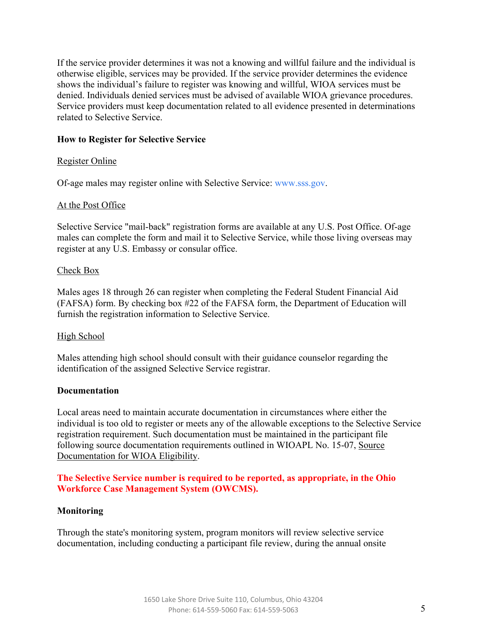If the service provider determines it was not a knowing and willful failure and the individual is otherwise eligible, services may be provided. If the service provider determines the evidence shows the individual's failure to register was knowing and willful, WIOA services must be denied. Individuals denied services must be advised of available WIOA grievance procedures. Service providers must keep documentation related to all evidence presented in determinations related to Selective Service.

### **How to Register for Selective Service**

### Register Online

Of-age males may register online with Selective Service: www.sss.gov.

### At the Post Office

Selective Service "mail-back" registration forms are available at any U.S. Post Office. Of-age males can complete the form and mail it to Selective Service, while those living overseas may register at any U.S. Embassy or consular office.

### Check Box

Males ages 18 through 26 can register when completing the Federal Student Financial Aid (FAFSA) form. By checking box #22 of the FAFSA form, the Department of Education will furnish the registration information to Selective Service.

### High School

Males attending high school should consult with their guidance counselor regarding the identification of the assigned Selective Service registrar.

### **Documentation**

Local areas need to maintain accurate documentation in circumstances where either the individual is too old to register or meets any of the allowable exceptions to the Selective Service registration requirement. Such documentation must be maintained in the participant file following source documentation requirements outlined in WIOAPL No. 15-07, Source Documentation for WIOA Eligibility.

## **The Selective Service number is required to be reported, as appropriate, in the Ohio Workforce Case Management System (OWCMS).**

### **Monitoring**

Through the state's monitoring system, program monitors will review selective service documentation, including conducting a participant file review, during the annual onsite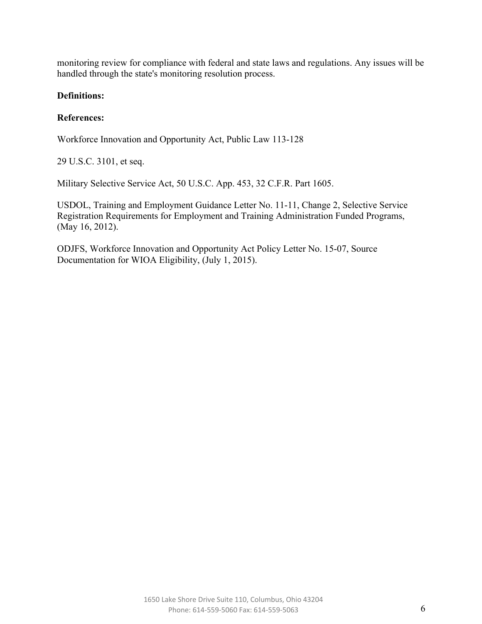monitoring review for compliance with federal and state laws and regulations. Any issues will be handled through the state's monitoring resolution process.

## **Definitions:**

## **References:**

Workforce Innovation and Opportunity Act, Public Law 113-128

29 U.S.C. 3101, et seq.

Military Selective Service Act, 50 U.S.C. App. 453, 32 C.F.R. Part 1605.

USDOL, Training and Employment Guidance Letter No. 11-11, Change 2, Selective Service Registration Requirements for Employment and Training Administration Funded Programs, (May 16, 2012).

ODJFS, Workforce Innovation and Opportunity Act Policy Letter No. 15-07, Source Documentation for WIOA Eligibility, (July 1, 2015).